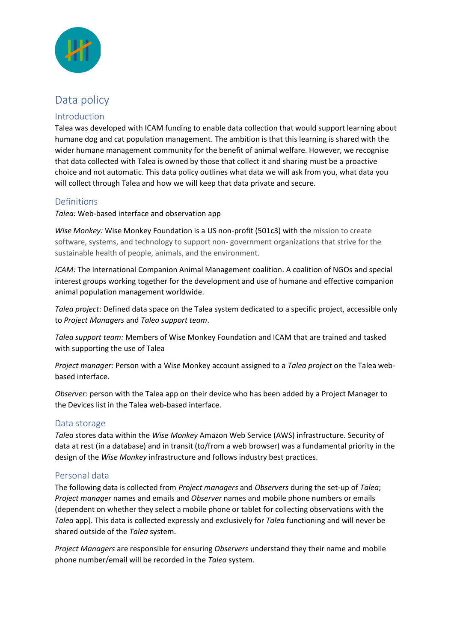

# Data policy

## Introduction

Talea was developed with ICAM funding to enable data collection that would support learning about humane dog and cat population management. The ambition is that this learning is shared with the wider humane management community for the benefit of animal welfare. However, we recognise that data collected with Talea is owned by those that collect it and sharing must be a proactive choice and not automatic. This data policy outlines what data we will ask from you, what data you will collect through Talea and how we will keep that data private and secure.

## Definitions

*Talea:* Web-based interface and observation app

*Wise Monkey:* Wise Monkey Foundation is a US non-profit (501c3) with the mission to create software, systems, and technology to support non- government organizations that strive for the sustainable health of people, animals, and the environment.

*ICAM:* The International Companion Animal Management coalition. A coalition of NGOs and special interest groups working together for the development and use of humane and effective companion animal population management worldwide.

*Talea project*: Defined data space on the Talea system dedicated to a specific project, accessible only to *Project Managers* and *Talea support team*.

*Talea support team:* Members of Wise Monkey Foundation and ICAM that are trained and tasked with supporting the use of Talea

*Project manager:* Person with a Wise Monkey account assigned to a *Talea project* on the Talea webbased interface.

*Observer:* person with the Talea app on their device who has been added by a Project Manager to the Devices list in the Talea web-based interface.

#### Data storage

*Talea* stores data within the *Wise Monkey* Amazon Web Service (AWS) infrastructure. Security of data at rest (in a database) and in transit (to/from a web browser) was a fundamental priority in the design of the *Wise Monkey* infrastructure and follows industry best practices.

## Personal data

The following data is collected from *Project managers* and *Observers* during the set-up of *Talea*; *Project manager* names and emails and *Observer* names and mobile phone numbers or emails (dependent on whether they select a mobile phone or tablet for collecting observations with the *Talea* app). This data is collected expressly and exclusively for *Talea* functioning and will never be shared outside of the *Talea* system.

*Project Managers* are responsible for ensuring *Observers* understand they their name and mobile phone number/email will be recorded in the *Talea* system.